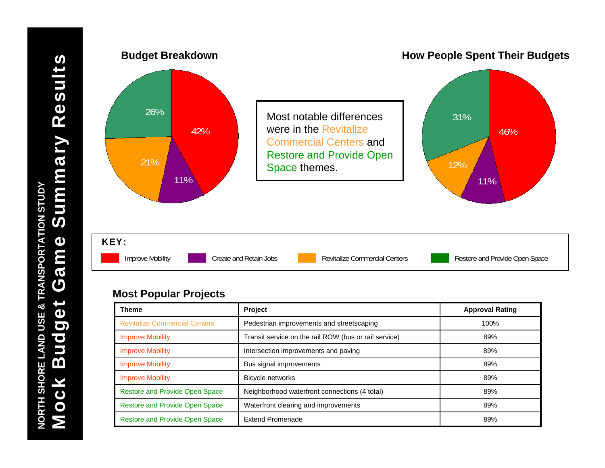

| <b>Theme</b>                          | Project                                               | <b>Approval Rating</b> |
|---------------------------------------|-------------------------------------------------------|------------------------|
| <b>Revitalize Commercial Centers</b>  | Pedestrian improvements and streetscaping             | 100%                   |
| <b>Improve Mobility</b>               | Transit service on the rail ROW (bus or rail service) | 89%                    |
| <b>Improve Mobility</b>               | Intersection improvements and paving                  | 89%                    |
| <b>Improve Mobility</b>               | Bus signal improvements                               | 89%                    |
| <b>Improve Mobility</b>               | <b>Bicycle networks</b>                               | 89%                    |
| Restore and Provide Open Space        | Neighborhood waterfront connections (4 total)         | 89%                    |
| <b>Restore and Provide Open Space</b> | Waterfront clearing and improvements                  | 89%                    |
| Restore and Provide Open Space        | <b>Extend Promenade</b>                               | 89%                    |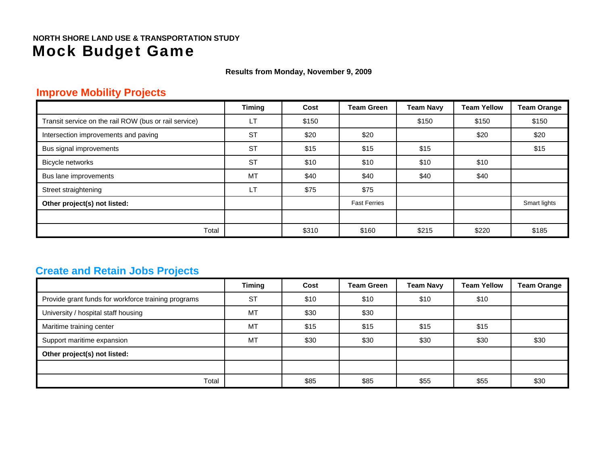**Results from Monday, November 9, 2009**

## **Improve Mobility Projects**

|                                                       | <b>Timing</b> | Cost  | <b>Team Green</b>   | <b>Team Navy</b> | <b>Team Yellow</b> | <b>Team Orange</b> |
|-------------------------------------------------------|---------------|-------|---------------------|------------------|--------------------|--------------------|
| Transit service on the rail ROW (bus or rail service) | <b>LT</b>     | \$150 |                     | \$150            | \$150              | \$150              |
| Intersection improvements and paving                  | <b>ST</b>     | \$20  | \$20                |                  | \$20               | \$20               |
| Bus signal improvements                               | <b>ST</b>     | \$15  | \$15                | \$15             |                    | \$15               |
| Bicycle networks                                      | <b>ST</b>     | \$10  | \$10                | \$10             | \$10               |                    |
| Bus lane improvements                                 | <b>MT</b>     | \$40  | \$40                | \$40             | \$40               |                    |
| Street straightening                                  | <b>LT</b>     | \$75  | \$75                |                  |                    |                    |
| Other project(s) not listed:                          |               |       | <b>Fast Ferries</b> |                  |                    | Smart lights       |
|                                                       |               |       |                     |                  |                    |                    |
| Total                                                 |               | \$310 | \$160               | \$215            | \$220              | \$185              |

## **Create and Retain Jobs Projects**

|                                                     | <b>Timing</b> | Cost | <b>Team Green</b> | <b>Team Navy</b> | <b>Team Yellow</b> | <b>Team Orange</b> |
|-----------------------------------------------------|---------------|------|-------------------|------------------|--------------------|--------------------|
| Provide grant funds for workforce training programs | <b>ST</b>     | \$10 | \$10              | \$10             | \$10               |                    |
| University / hospital staff housing                 | MT            | \$30 | \$30              |                  |                    |                    |
| Maritime training center                            | MT            | \$15 | \$15              | \$15             | \$15               |                    |
| Support maritime expansion                          | MT            | \$30 | \$30              | \$30             | \$30               | \$30               |
| Other project(s) not listed:                        |               |      |                   |                  |                    |                    |
|                                                     |               |      |                   |                  |                    |                    |
| Total                                               |               | \$85 | \$85              | \$55             | \$55               | \$30               |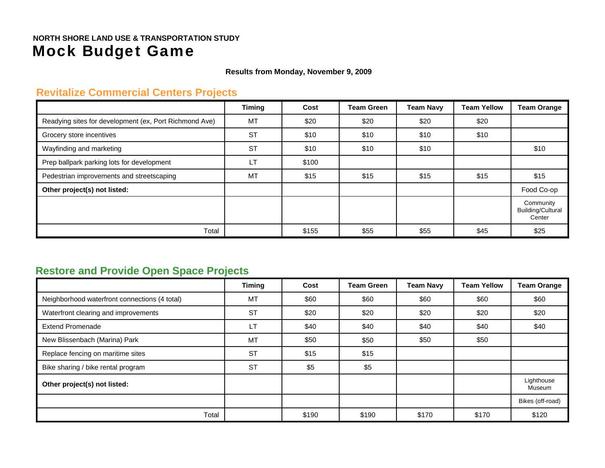#### **Results from Monday, November 9, 2009**

## **Revitalize Commercial Centers Projects**

|                                                        | <b>Timing</b> | Cost  | <b>Team Green</b> | <b>Team Navy</b> | <b>Team Yellow</b> | <b>Team Orange</b>                              |
|--------------------------------------------------------|---------------|-------|-------------------|------------------|--------------------|-------------------------------------------------|
| Readying sites for development (ex, Port Richmond Ave) | <b>MT</b>     | \$20  | \$20              | \$20             | \$20               |                                                 |
| Grocery store incentives                               | <b>ST</b>     | \$10  | \$10              | \$10             | \$10               |                                                 |
| Wayfinding and marketing                               | <b>ST</b>     | \$10  | \$10              | \$10             |                    | \$10                                            |
| Prep ballpark parking lots for development             | LT.           | \$100 |                   |                  |                    |                                                 |
| Pedestrian improvements and streetscaping              | <b>MT</b>     | \$15  | \$15              | \$15             | \$15               | \$15                                            |
| Other project(s) not listed:                           |               |       |                   |                  |                    | Food Co-op                                      |
|                                                        |               |       |                   |                  |                    | Community<br><b>Building/Cultural</b><br>Center |
| Total                                                  |               | \$155 | \$55              | \$55             | \$45               | \$25                                            |

## **Restore and Provide Open Space Projects**

|                                               | <b>Timing</b> | Cost  | <b>Team Green</b> | <b>Team Navy</b> | <b>Team Yellow</b> | <b>Team Orange</b>   |
|-----------------------------------------------|---------------|-------|-------------------|------------------|--------------------|----------------------|
| Neighborhood waterfront connections (4 total) | <b>MT</b>     | \$60  | \$60              | \$60             | \$60               | \$60                 |
| Waterfront clearing and improvements          | <b>ST</b>     | \$20  | \$20              | \$20             | \$20               | \$20                 |
| <b>Extend Promenade</b>                       | <b>LT</b>     | \$40  | \$40              | \$40             | \$40               | \$40                 |
| New Blissenbach (Marina) Park                 | <b>MT</b>     | \$50  | \$50              | \$50             | \$50               |                      |
| Replace fencing on maritime sites             | <b>ST</b>     | \$15  | \$15              |                  |                    |                      |
| Bike sharing / bike rental program            | <b>ST</b>     | \$5   | \$5               |                  |                    |                      |
| Other project(s) not listed:                  |               |       |                   |                  |                    | Lighthouse<br>Museum |
|                                               |               |       |                   |                  |                    | Bikes (off-road)     |
| Total                                         |               | \$190 | \$190             | \$170            | \$170              | \$120                |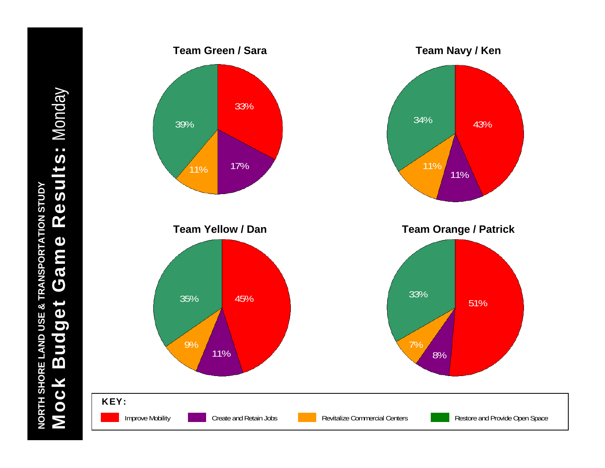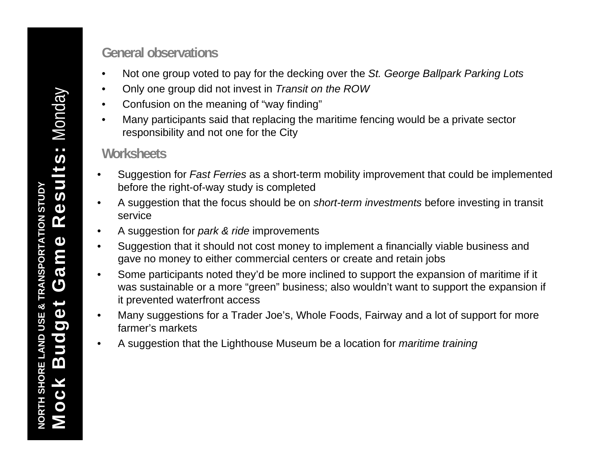# **General observations**

- •Not one group voted to pay for the decking over the *St. George Ballpark Parking Lots*
- •Only one group did not invest in *Transit on the ROW*
- $\bullet$ Confusion on the meaning of "way finding"
- • Many participants said that replacing the maritime fencing would be a private sector responsibility and not one for the City

# **Worksheets**

- • Suggestion for *Fast Ferries* as a short-term mobility improvement that could be implemented before the right-of-way study is completed
- • A suggestion that the focus should be on *short-term investments* before investing in transit service
- •A suggestion for *park & ride* improvements
- • Suggestion that it should not cost money to implement a financially viable business and gave no money to either commercial centers or create and retain jobs
- • Some participants noted they'd be more inclined to support the expansion of maritime if it was sustainable or a more "green" business; also wouldn't want to support the expansion if it prevented waterfront access
- • Many suggestions for a Trader Joe's, Whole Foods, Fairway and a lot of support for more farmer's markets
- •A suggestion that the Lighthouse Museum be a location for *maritime training*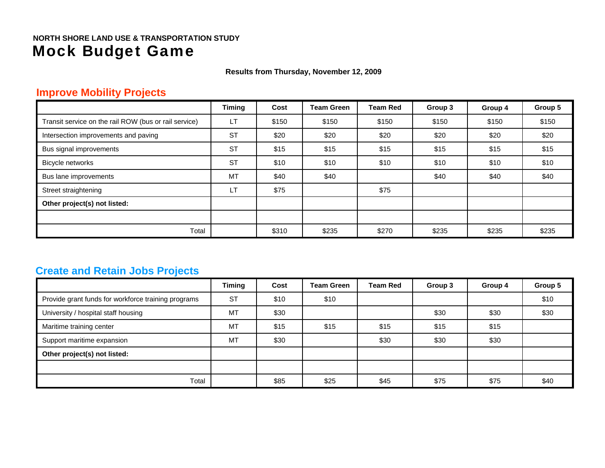**Results from Thursday, November 12, 2009**

## **Improve Mobility Projects**

|                                                       | <b>Timing</b> | Cost  | <b>Team Green</b> | Team Red | Group 3 | Group 4 | Group 5 |
|-------------------------------------------------------|---------------|-------|-------------------|----------|---------|---------|---------|
| Transit service on the rail ROW (bus or rail service) | LT            | \$150 | \$150             | \$150    | \$150   | \$150   | \$150   |
| Intersection improvements and paving                  | <b>ST</b>     | \$20  | \$20              | \$20     | \$20    | \$20    | \$20    |
| Bus signal improvements                               | <b>ST</b>     | \$15  | \$15              | \$15     | \$15    | \$15    | \$15    |
| Bicycle networks                                      | <b>ST</b>     | \$10  | \$10              | \$10     | \$10    | \$10    | \$10    |
| Bus lane improvements                                 | MT            | \$40  | \$40              |          | \$40    | \$40    | \$40    |
| Street straightening                                  | LT            | \$75  |                   | \$75     |         |         |         |
| Other project(s) not listed:                          |               |       |                   |          |         |         |         |
|                                                       |               |       |                   |          |         |         |         |
| Total                                                 |               | \$310 | \$235             | \$270    | \$235   | \$235   | \$235   |

## **Create and Retain Jobs Projects**

|                                                     | <b>Timing</b> | Cost | <b>Team Green</b> | <b>Team Red</b> | Group 3 | Group 4 | Group 5 |
|-----------------------------------------------------|---------------|------|-------------------|-----------------|---------|---------|---------|
| Provide grant funds for workforce training programs | <b>ST</b>     | \$10 | \$10              |                 |         |         | \$10    |
| University / hospital staff housing                 | <b>MT</b>     | \$30 |                   |                 | \$30    | \$30    | \$30    |
| Maritime training center                            | <b>MT</b>     | \$15 | \$15              | \$15            | \$15    | \$15    |         |
| Support maritime expansion                          | <b>MT</b>     | \$30 |                   | \$30            | \$30    | \$30    |         |
| Other project(s) not listed:                        |               |      |                   |                 |         |         |         |
|                                                     |               |      |                   |                 |         |         |         |
| Total                                               |               | \$85 | \$25              | \$45            | \$75    | \$75    | \$40    |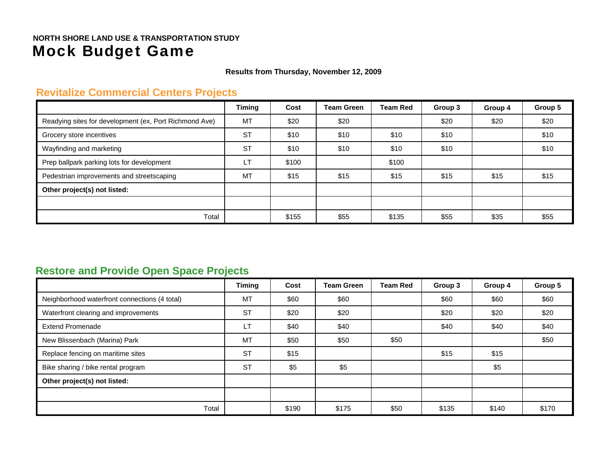**Results from Thursday, November 12, 2009**

#### **Revitalize Commercial Centers Projects**

|                                                        | <b>Timing</b> | Cost  | <b>Team Green</b> | <b>Team Red</b> | Group 3 | Group 4 | Group 5 |
|--------------------------------------------------------|---------------|-------|-------------------|-----------------|---------|---------|---------|
| Readying sites for development (ex, Port Richmond Ave) | MT            | \$20  | \$20              |                 | \$20    | \$20    | \$20    |
| Grocery store incentives                               | <b>ST</b>     | \$10  | \$10              | \$10            | \$10    |         | \$10    |
| Wayfinding and marketing                               | <b>ST</b>     | \$10  | \$10              | \$10            | \$10    |         | \$10    |
| Prep ballpark parking lots for development             | <b>LT</b>     | \$100 |                   | \$100           |         |         |         |
| Pedestrian improvements and streetscaping              | <b>MT</b>     | \$15  | \$15              | \$15            | \$15    | \$15    | \$15    |
| Other project(s) not listed:                           |               |       |                   |                 |         |         |         |
|                                                        |               |       |                   |                 |         |         |         |
| Total                                                  |               | \$155 | \$55              | \$135           | \$55    | \$35    | \$55    |

## **Restore and Provide Open Space Projects**

|                                               | <b>Timing</b> | Cost  | <b>Team Green</b> | <b>Team Red</b> | Group 3 | Group 4 | Group 5 |
|-----------------------------------------------|---------------|-------|-------------------|-----------------|---------|---------|---------|
| Neighborhood waterfront connections (4 total) | MT            | \$60  | \$60              |                 | \$60    | \$60    | \$60    |
| Waterfront clearing and improvements          | <b>ST</b>     | \$20  | \$20              |                 | \$20    | \$20    | \$20    |
| <b>Extend Promenade</b>                       | <b>LT</b>     | \$40  | \$40              |                 | \$40    | \$40    | \$40    |
| New Blissenbach (Marina) Park                 | MT            | \$50  | \$50              | \$50            |         |         | \$50    |
| Replace fencing on maritime sites             | <b>ST</b>     | \$15  |                   |                 | \$15    | \$15    |         |
| Bike sharing / bike rental program            | <b>ST</b>     | \$5   | \$5               |                 |         | \$5     |         |
| Other project(s) not listed:                  |               |       |                   |                 |         |         |         |
|                                               |               |       |                   |                 |         |         |         |
| Total                                         |               | \$190 | \$175             | \$50            | \$135   | \$140   | \$170   |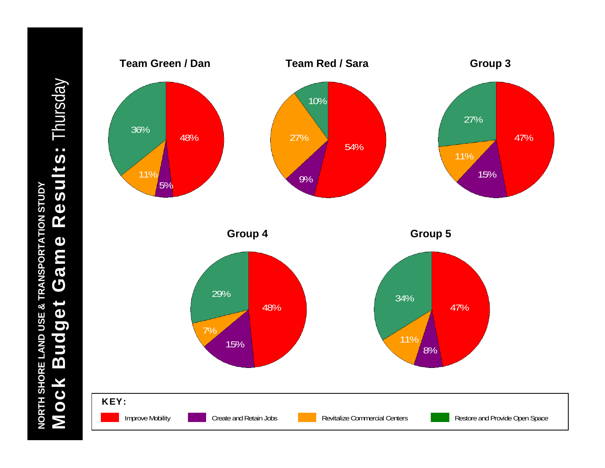